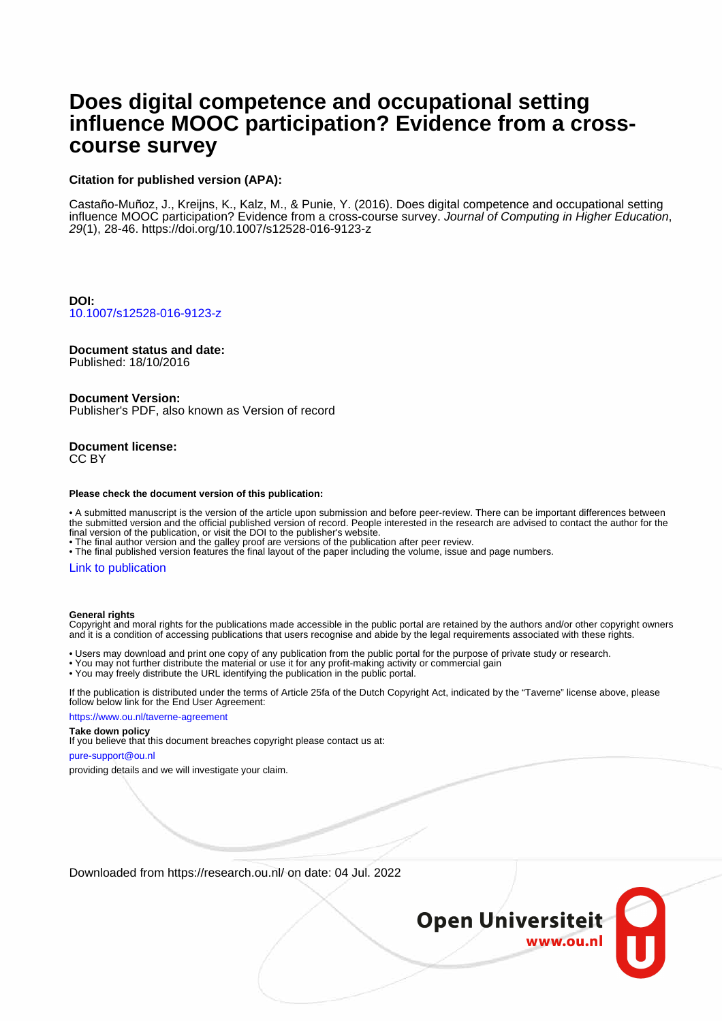# **Does digital competence and occupational setting influence MOOC participation? Evidence from a crosscourse survey**

# **Citation for published version (APA):**

Castaño-Muñoz, J., Kreijns, K., Kalz, M., & Punie, Y. (2016). Does digital competence and occupational setting influence MOOC participation? Evidence from a cross-course survey. Journal of Computing in Higher Education, 29(1), 28-46.<https://doi.org/10.1007/s12528-016-9123-z>

**DOI:** [10.1007/s12528-016-9123-z](https://doi.org/10.1007/s12528-016-9123-z)

### **Document status and date:**

Published: 18/10/2016

#### **Document Version:**

Publisher's PDF, also known as Version of record

# **Document license:**

CC BY

#### **Please check the document version of this publication:**

• A submitted manuscript is the version of the article upon submission and before peer-review. There can be important differences between the submitted version and the official published version of record. People interested in the research are advised to contact the author for the final version of the publication, or visit the DOI to the publisher's website.

• The final author version and the galley proof are versions of the publication after peer review.

• The final published version features the final layout of the paper including the volume, issue and page numbers.

#### [Link to publication](https://research.ou.nl/en/publications/902ed7cc-2c00-4277-b9f9-1c8b7a2a7916)

#### **General rights**

Copyright and moral rights for the publications made accessible in the public portal are retained by the authors and/or other copyright owners and it is a condition of accessing publications that users recognise and abide by the legal requirements associated with these rights.

• Users may download and print one copy of any publication from the public portal for the purpose of private study or research.

- You may not further distribute the material or use it for any profit-making activity or commercial gain
- You may freely distribute the URL identifying the publication in the public portal.

If the publication is distributed under the terms of Article 25fa of the Dutch Copyright Act, indicated by the "Taverne" license above, please follow below link for the End User Agreement:

#### https://www.ou.nl/taverne-agreement

#### **Take down policy**

If you believe that this document breaches copyright please contact us at:

#### pure-support@ou.nl

providing details and we will investigate your claim.

Downloaded from https://research.ou.nl/ on date: 04 Jul. 2022

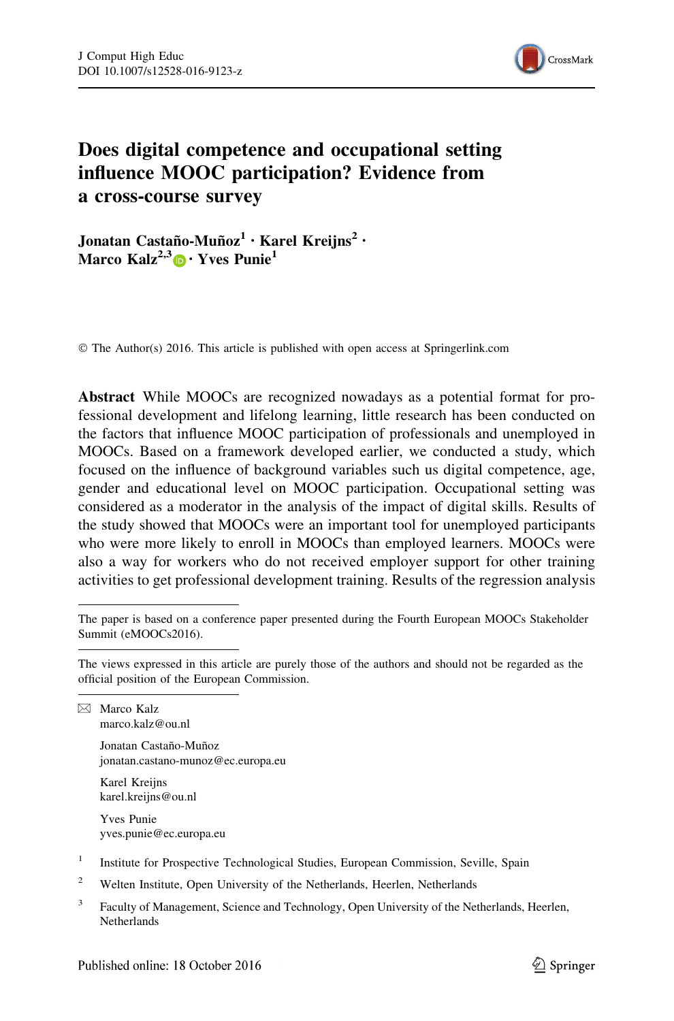

# Does digital competence and occupational setting influence MOOC participation? Evidence from a cross-course survey

Jonatan Castaño-Muñoz<sup>1</sup> • Karel Kreijns<sup>2</sup> • Marco Kalz<sup>2,3</sup> • Yves Punie<sup>1</sup>

© The Author(s) 2016. This article is published with open access at Springerlink.com

Abstract While MOOCs are recognized nowadays as a potential format for professional development and lifelong learning, little research has been conducted on the factors that influence MOOC participation of professionals and unemployed in MOOCs. Based on a framework developed earlier, we conducted a study, which focused on the influence of background variables such us digital competence, age, gender and educational level on MOOC participation. Occupational setting was considered as a moderator in the analysis of the impact of digital skills. Results of the study showed that MOOCs were an important tool for unemployed participants who were more likely to enroll in MOOCs than employed learners. MOOCs were also a way for workers who do not received employer support for other training activities to get professional development training. Results of the regression analysis

 $\boxtimes$  Marco Kalz marco.kalz@ou.nl

> Jonatan Castaño-Muñoz jonatan.castano-munoz@ec.europa.eu

Karel Kreijns karel.kreijns@ou.nl

Yves Punie yves.punie@ec.europa.eu

- <sup>1</sup> Institute for Prospective Technological Studies, European Commission, Seville, Spain
- <sup>2</sup> Welten Institute, Open University of the Netherlands, Heerlen, Netherlands
- <sup>3</sup> Faculty of Management, Science and Technology, Open University of the Netherlands, Heerlen, Netherlands

The paper is based on a conference paper presented during the Fourth European MOOCs Stakeholder Summit (eMOOCs2016).

The views expressed in this article are purely those of the authors and should not be regarded as the official position of the European Commission.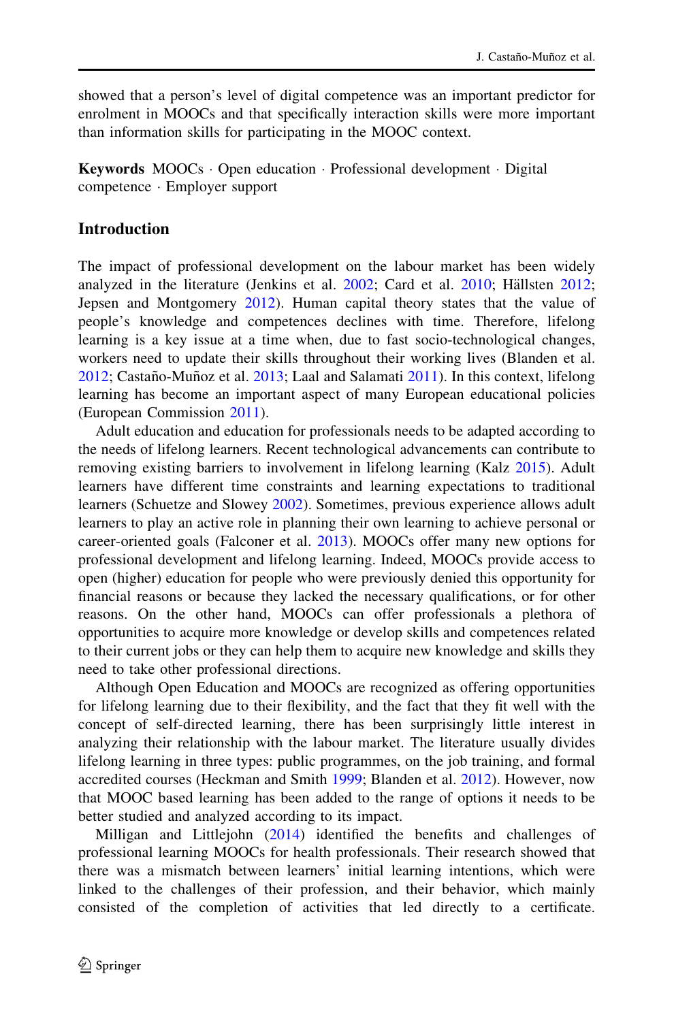showed that a person's level of digital competence was an important predictor for enrolment in MOOCs and that specifically interaction skills were more important than information skills for participating in the MOOC context.

Keywords MOOCs · Open education · Professional development · Digital competence - Employer support

### **Introduction**

The impact of professional development on the labour market has been widely analyzed in the literature (Jenkins et al.  $2002$ ; Card et al.  $2010$ ; Hällsten  $2012$ ; Jepsen and Montgomery [2012\)](#page-18-0). Human capital theory states that the value of people's knowledge and competences declines with time. Therefore, lifelong learning is a key issue at a time when, due to fast socio-technological changes, workers need to update their skills throughout their working lives (Blanden et al. [2012;](#page-17-0) Castaño-Muñoz et al. [2013](#page-17-0); Laal and Salamati [2011](#page-18-0)). In this context, lifelong learning has become an important aspect of many European educational policies (European Commission [2011\)](#page-18-0).

Adult education and education for professionals needs to be adapted according to the needs of lifelong learners. Recent technological advancements can contribute to removing existing barriers to involvement in lifelong learning (Kalz [2015](#page-18-0)). Adult learners have different time constraints and learning expectations to traditional learners (Schuetze and Slowey [2002\)](#page-18-0). Sometimes, previous experience allows adult learners to play an active role in planning their own learning to achieve personal or career-oriented goals (Falconer et al. [2013\)](#page-18-0). MOOCs offer many new options for professional development and lifelong learning. Indeed, MOOCs provide access to open (higher) education for people who were previously denied this opportunity for financial reasons or because they lacked the necessary qualifications, or for other reasons. On the other hand, MOOCs can offer professionals a plethora of opportunities to acquire more knowledge or develop skills and competences related to their current jobs or they can help them to acquire new knowledge and skills they need to take other professional directions.

Although Open Education and MOOCs are recognized as offering opportunities for lifelong learning due to their flexibility, and the fact that they fit well with the concept of self-directed learning, there has been surprisingly little interest in analyzing their relationship with the labour market. The literature usually divides lifelong learning in three types: public programmes, on the job training, and formal accredited courses (Heckman and Smith [1999](#page-18-0); Blanden et al. [2012\)](#page-17-0). However, now that MOOC based learning has been added to the range of options it needs to be better studied and analyzed according to its impact.

Milligan and Littlejohn ([2014\)](#page-18-0) identified the benefits and challenges of professional learning MOOCs for health professionals. Their research showed that there was a mismatch between learners' initial learning intentions, which were linked to the challenges of their profession, and their behavior, which mainly consisted of the completion of activities that led directly to a certificate.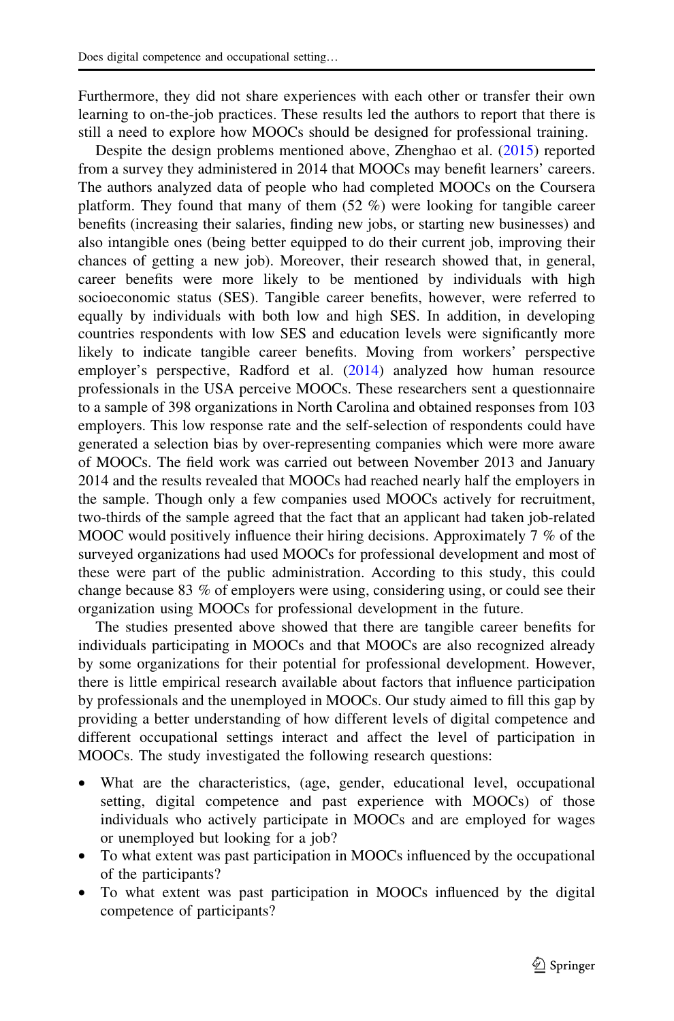Furthermore, they did not share experiences with each other or transfer their own learning to on-the-job practices. These results led the authors to report that there is still a need to explore how MOOCs should be designed for professional training.

Despite the design problems mentioned above, Zhenghao et al. [\(2015](#page-19-0)) reported from a survey they administered in 2014 that MOOCs may benefit learners' careers. The authors analyzed data of people who had completed MOOCs on the Coursera platform. They found that many of them (52 %) were looking for tangible career benefits (increasing their salaries, finding new jobs, or starting new businesses) and also intangible ones (being better equipped to do their current job, improving their chances of getting a new job). Moreover, their research showed that, in general, career benefits were more likely to be mentioned by individuals with high socioeconomic status (SES). Tangible career benefits, however, were referred to equally by individuals with both low and high SES. In addition, in developing countries respondents with low SES and education levels were significantly more likely to indicate tangible career benefits. Moving from workers' perspective employer's perspective, Radford et al. [\(2014](#page-18-0)) analyzed how human resource professionals in the USA perceive MOOCs. These researchers sent a questionnaire to a sample of 398 organizations in North Carolina and obtained responses from 103 employers. This low response rate and the self-selection of respondents could have generated a selection bias by over-representing companies which were more aware of MOOCs. The field work was carried out between November 2013 and January 2014 and the results revealed that MOOCs had reached nearly half the employers in the sample. Though only a few companies used MOOCs actively for recruitment, two-thirds of the sample agreed that the fact that an applicant had taken job-related MOOC would positively influence their hiring decisions. Approximately 7 % of the surveyed organizations had used MOOCs for professional development and most of these were part of the public administration. According to this study, this could change because 83 % of employers were using, considering using, or could see their organization using MOOCs for professional development in the future.

The studies presented above showed that there are tangible career benefits for individuals participating in MOOCs and that MOOCs are also recognized already by some organizations for their potential for professional development. However, there is little empirical research available about factors that influence participation by professionals and the unemployed in MOOCs. Our study aimed to fill this gap by providing a better understanding of how different levels of digital competence and different occupational settings interact and affect the level of participation in MOOCs. The study investigated the following research questions:

- What are the characteristics, (age, gender, educational level, occupational setting, digital competence and past experience with MOOCs) of those individuals who actively participate in MOOCs and are employed for wages or unemployed but looking for a job?
- To what extent was past participation in MOOCs influenced by the occupational of the participants?
- To what extent was past participation in MOOCs influenced by the digital competence of participants?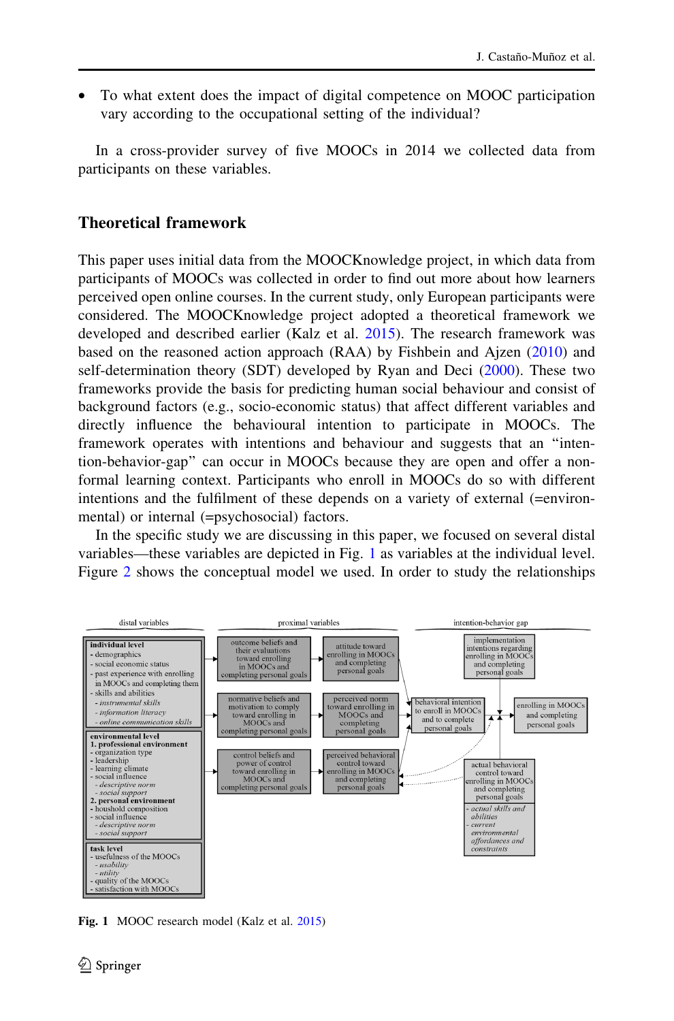• To what extent does the impact of digital competence on MOOC participation vary according to the occupational setting of the individual?

In a cross-provider survey of five MOOCs in 2014 we collected data from participants on these variables.

# Theoretical framework

This paper uses initial data from the MOOCKnowledge project, in which data from participants of MOOCs was collected in order to find out more about how learners perceived open online courses. In the current study, only European participants were considered. The MOOCKnowledge project adopted a theoretical framework we developed and described earlier (Kalz et al. [2015](#page-18-0)). The research framework was based on the reasoned action approach (RAA) by Fishbein and Ajzen ([2010\)](#page-18-0) and self-determination theory (SDT) developed by Ryan and Deci ([2000\)](#page-18-0). These two frameworks provide the basis for predicting human social behaviour and consist of background factors (e.g., socio-economic status) that affect different variables and directly influence the behavioural intention to participate in MOOCs. The framework operates with intentions and behaviour and suggests that an ''intention-behavior-gap'' can occur in MOOCs because they are open and offer a nonformal learning context. Participants who enroll in MOOCs do so with different intentions and the fulfilment of these depends on a variety of external (=environmental) or internal (=psychosocial) factors.

In the specific study we are discussing in this paper, we focused on several distal variables—these variables are depicted in Fig. 1 as variables at the individual level. Figure [2](#page-5-0) shows the conceptual model we used. In order to study the relationships



Fig. 1 MOOC research model (Kalz et al. [2015\)](#page-18-0)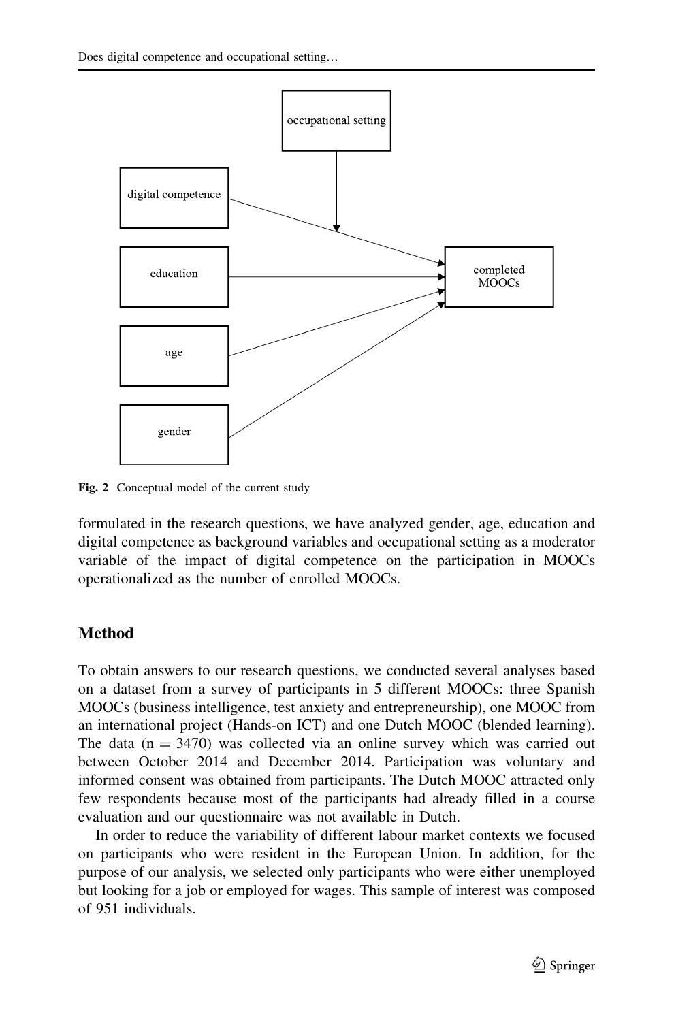<span id="page-5-0"></span>

Fig. 2 Conceptual model of the current study

formulated in the research questions, we have analyzed gender, age, education and digital competence as background variables and occupational setting as a moderator variable of the impact of digital competence on the participation in MOOCs operationalized as the number of enrolled MOOCs.

# **Method**

To obtain answers to our research questions, we conducted several analyses based on a dataset from a survey of participants in 5 different MOOCs: three Spanish MOOCs (business intelligence, test anxiety and entrepreneurship), one MOOC from an international project (Hands-on ICT) and one Dutch MOOC (blended learning). The data  $(n = 3470)$  was collected via an online survey which was carried out between October 2014 and December 2014. Participation was voluntary and informed consent was obtained from participants. The Dutch MOOC attracted only few respondents because most of the participants had already filled in a course evaluation and our questionnaire was not available in Dutch.

In order to reduce the variability of different labour market contexts we focused on participants who were resident in the European Union. In addition, for the purpose of our analysis, we selected only participants who were either unemployed but looking for a job or employed for wages. This sample of interest was composed of 951 individuals.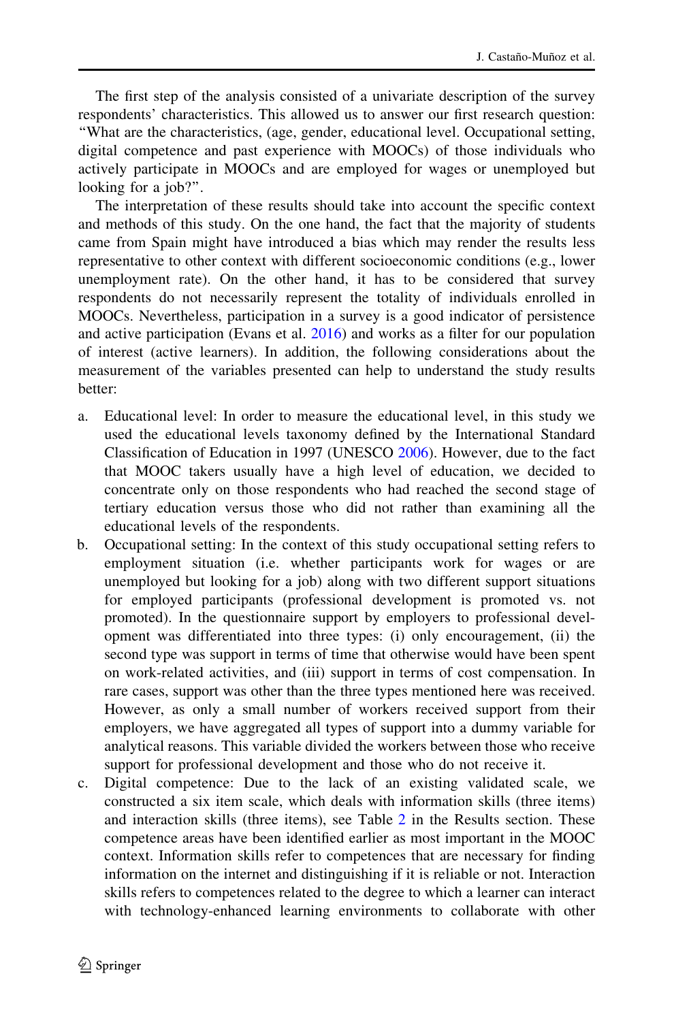The first step of the analysis consisted of a univariate description of the survey respondents' characteristics. This allowed us to answer our first research question: ''What are the characteristics, (age, gender, educational level. Occupational setting, digital competence and past experience with MOOCs) of those individuals who actively participate in MOOCs and are employed for wages or unemployed but looking for a job?''.

The interpretation of these results should take into account the specific context and methods of this study. On the one hand, the fact that the majority of students came from Spain might have introduced a bias which may render the results less representative to other context with different socioeconomic conditions (e.g., lower unemployment rate). On the other hand, it has to be considered that survey respondents do not necessarily represent the totality of individuals enrolled in MOOCs. Nevertheless, participation in a survey is a good indicator of persistence and active participation (Evans et al. [2016\)](#page-18-0) and works as a filter for our population of interest (active learners). In addition, the following considerations about the measurement of the variables presented can help to understand the study results better:

- a. Educational level: In order to measure the educational level, in this study we used the educational levels taxonomy defined by the International Standard Classification of Education in 1997 (UNESCO [2006\)](#page-18-0). However, due to the fact that MOOC takers usually have a high level of education, we decided to concentrate only on those respondents who had reached the second stage of tertiary education versus those who did not rather than examining all the educational levels of the respondents.
- b. Occupational setting: In the context of this study occupational setting refers to employment situation (i.e. whether participants work for wages or are unemployed but looking for a job) along with two different support situations for employed participants (professional development is promoted vs. not promoted). In the questionnaire support by employers to professional development was differentiated into three types: (i) only encouragement, (ii) the second type was support in terms of time that otherwise would have been spent on work-related activities, and (iii) support in terms of cost compensation. In rare cases, support was other than the three types mentioned here was received. However, as only a small number of workers received support from their employers, we have aggregated all types of support into a dummy variable for analytical reasons. This variable divided the workers between those who receive support for professional development and those who do not receive it.
- c. Digital competence: Due to the lack of an existing validated scale, we constructed a six item scale, which deals with information skills (three items) and interaction skills (three items), see Table [2](#page-11-0) in the Results section. These competence areas have been identified earlier as most important in the MOOC context. Information skills refer to competences that are necessary for finding information on the internet and distinguishing if it is reliable or not. Interaction skills refers to competences related to the degree to which a learner can interact with technology-enhanced learning environments to collaborate with other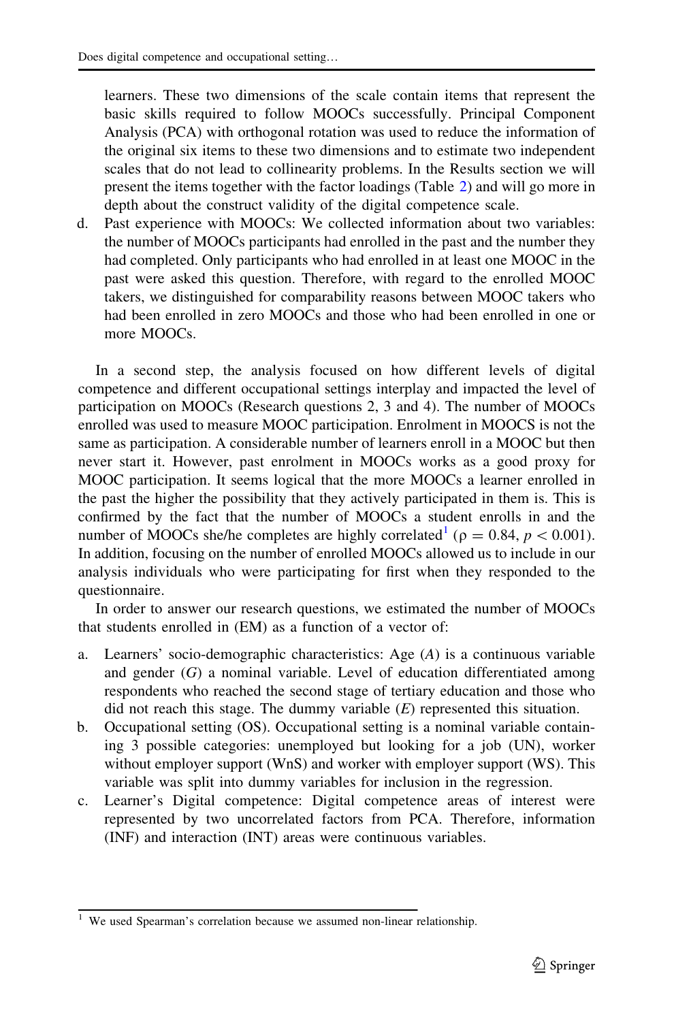learners. These two dimensions of the scale contain items that represent the basic skills required to follow MOOCs successfully. Principal Component Analysis (PCA) with orthogonal rotation was used to reduce the information of the original six items to these two dimensions and to estimate two independent scales that do not lead to collinearity problems. In the Results section we will present the items together with the factor loadings (Table [2\)](#page-11-0) and will go more in depth about the construct validity of the digital competence scale.

d. Past experience with MOOCs: We collected information about two variables: the number of MOOCs participants had enrolled in the past and the number they had completed. Only participants who had enrolled in at least one MOOC in the past were asked this question. Therefore, with regard to the enrolled MOOC takers, we distinguished for comparability reasons between MOOC takers who had been enrolled in zero MOOCs and those who had been enrolled in one or more MOOCs.

In a second step, the analysis focused on how different levels of digital competence and different occupational settings interplay and impacted the level of participation on MOOCs (Research questions 2, 3 and 4). The number of MOOCs enrolled was used to measure MOOC participation. Enrolment in MOOCS is not the same as participation. A considerable number of learners enroll in a MOOC but then never start it. However, past enrolment in MOOCs works as a good proxy for MOOC participation. It seems logical that the more MOOCs a learner enrolled in the past the higher the possibility that they actively participated in them is. This is confirmed by the fact that the number of MOOCs a student enrolls in and the number of MOOCs she/he completes are highly correlated<sup>1</sup> ( $\rho = 0.84$ ,  $p < 0.001$ ). In addition, focusing on the number of enrolled MOOCs allowed us to include in our analysis individuals who were participating for first when they responded to the questionnaire.

In order to answer our research questions, we estimated the number of MOOCs that students enrolled in (EM) as a function of a vector of:

- a. Learners' socio-demographic characteristics: Age (A) is a continuous variable and gender  $(G)$  a nominal variable. Level of education differentiated among respondents who reached the second stage of tertiary education and those who did not reach this stage. The dummy variable  $(E)$  represented this situation.
- b. Occupational setting (OS). Occupational setting is a nominal variable containing 3 possible categories: unemployed but looking for a job (UN), worker without employer support (WnS) and worker with employer support (WS). This variable was split into dummy variables for inclusion in the regression.
- c. Learner's Digital competence: Digital competence areas of interest were represented by two uncorrelated factors from PCA. Therefore, information (INF) and interaction (INT) areas were continuous variables.

 $1$  We used Spearman's correlation because we assumed non-linear relationship.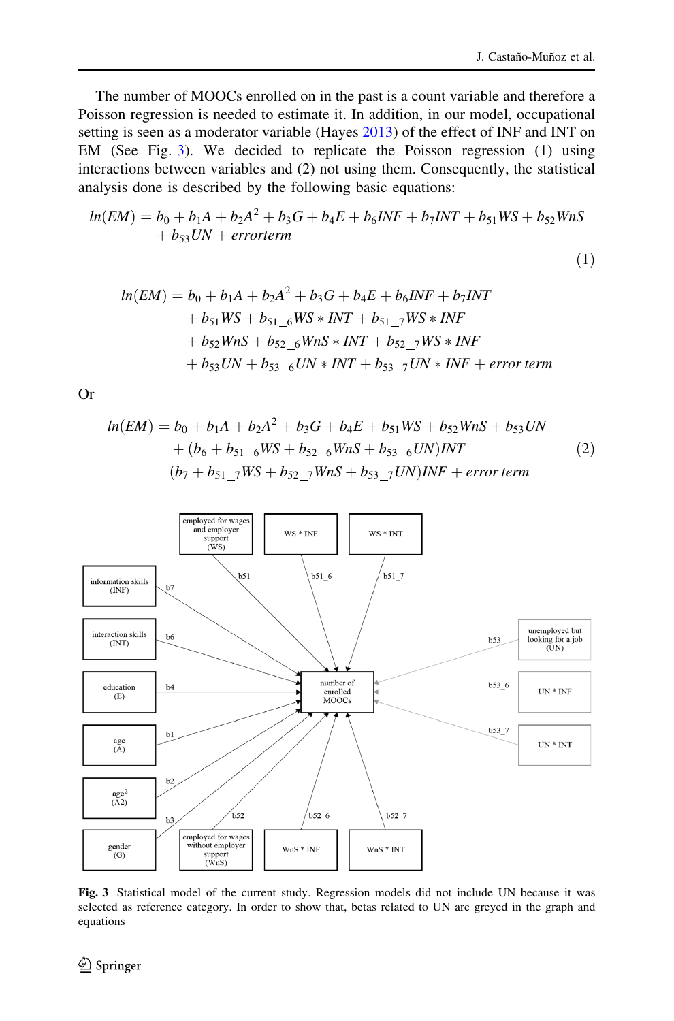$(1)$ 

The number of MOOCs enrolled on in the past is a count variable and therefore a Poisson regression is needed to estimate it. In addition, in our model, occupational setting is seen as a moderator variable (Hayes [2013](#page-18-0)) of the effect of INF and INT on EM (See Fig. 3). We decided to replicate the Poisson regression (1) using interactions between variables and (2) not using them. Consequently, the statistical analysis done is described by the following basic equations:

$$
ln(EM) = b_0 + b_1A + b_2A^2 + b_3G + b_4E + b_6INF + b_7INT + b_{51}WS + b_{52}WnS + b_{53}UN + errorterm
$$

$$
ln(EM) = b_0 + b_1A + b_2A^2 + b_3G + b_4E + b_6INF + b_7INT
$$
  
+  $b_{51}WS + b_{51_6}WS * INT + b_{51_7}WS * INF$   
+  $b_{52}WnS + b_{52_6}WnS * INT + b_{52_7}WS * INF$   
+  $b_{53}UN + b_{53_6}UN * INT + b_{53_7}UN * INF + error term$ 

Or

$$
ln(EM) = b_0 + b_1A + b_2A^2 + b_3G + b_4E + b_{51}WS + b_{52}WnS + b_{53}UN + (b_6 + b_{51}\_6WS + b_{52}\_6WnS + b_{53}\_6UN)INT
$$
 (2)  

$$
(b_7 + b_{51}\_7WS + b_{52}\_7WnS + b_{53}\_7UN)INF + error term
$$



Fig. 3 Statistical model of the current study. Regression models did not include UN because it was selected as reference category. In order to show that, betas related to UN are greyed in the graph and equations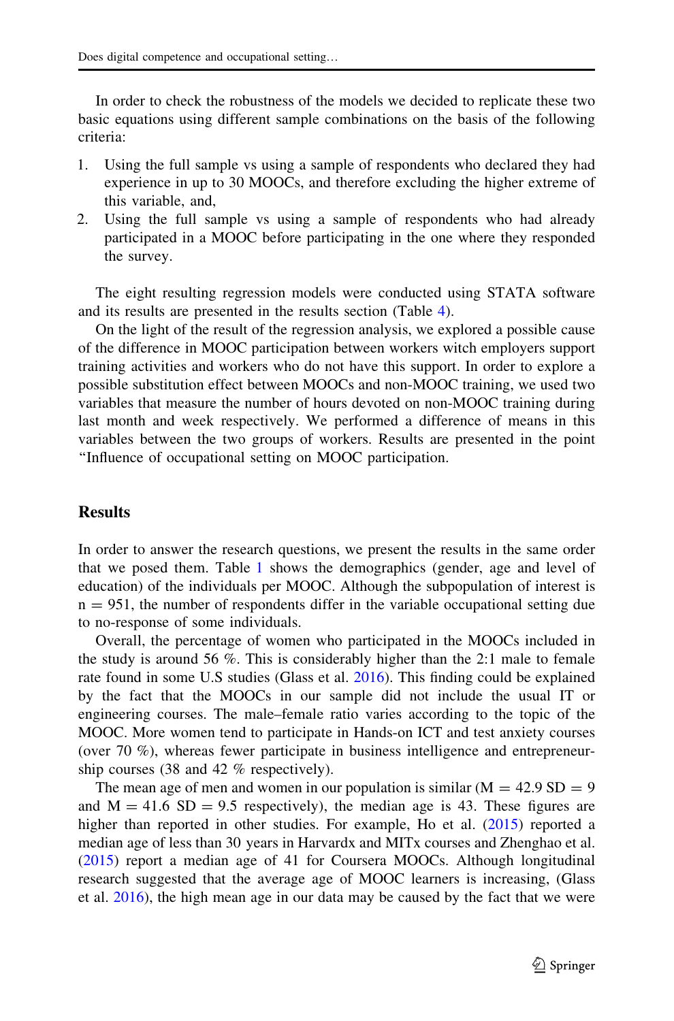In order to check the robustness of the models we decided to replicate these two basic equations using different sample combinations on the basis of the following criteria:

- 1. Using the full sample vs using a sample of respondents who declared they had experience in up to 30 MOOCs, and therefore excluding the higher extreme of this variable, and,
- 2. Using the full sample vs using a sample of respondents who had already participated in a MOOC before participating in the one where they responded the survey.

The eight resulting regression models were conducted using STATA software and its results are presented in the results section (Table [4\)](#page-14-0).

On the light of the result of the regression analysis, we explored a possible cause of the difference in MOOC participation between workers witch employers support training activities and workers who do not have this support. In order to explore a possible substitution effect between MOOCs and non-MOOC training, we used two variables that measure the number of hours devoted on non-MOOC training during last month and week respectively. We performed a difference of means in this variables between the two groups of workers. Results are presented in the point ''Influence of occupational setting on MOOC participation.

# **Results**

In order to answer the research questions, we present the results in the same order that we posed them. Table [1](#page-10-0) shows the demographics (gender, age and level of education) of the individuals per MOOC. Although the subpopulation of interest is  $n = 951$ , the number of respondents differ in the variable occupational setting due to no-response of some individuals.

Overall, the percentage of women who participated in the MOOCs included in the study is around 56 %. This is considerably higher than the 2:1 male to female rate found in some U.S studies (Glass et al. [2016\)](#page-19-0). This finding could be explained by the fact that the MOOCs in our sample did not include the usual IT or engineering courses. The male–female ratio varies according to the topic of the MOOC. More women tend to participate in Hands-on ICT and test anxiety courses (over 70 %), whereas fewer participate in business intelligence and entrepreneurship courses (38 and 42 % respectively).

The mean age of men and women in our population is similar ( $M = 42.9$  SD = 9 and  $M = 41.6$  SD = 9.5 respectively), the median age is 43. These figures are higher than reported in other studies. For example, Ho et al. [\(2015](#page-18-0)) reported a median age of less than 30 years in Harvardx and MITx courses and Zhenghao et al. [\(2015](#page-19-0)) report a median age of 41 for Coursera MOOCs. Although longitudinal research suggested that the average age of MOOC learners is increasing, (Glass et al. [2016\)](#page-19-0), the high mean age in our data may be caused by the fact that we were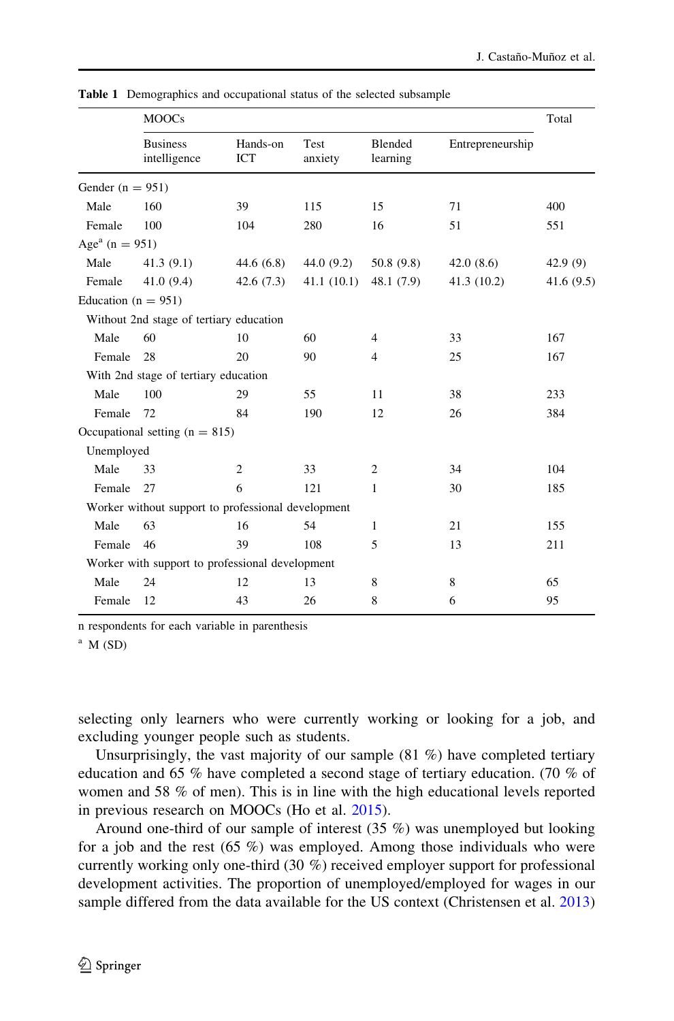|                            | <b>MOOCs</b>                                       |                 |                 |                     |                  | Total     |
|----------------------------|----------------------------------------------------|-----------------|-----------------|---------------------|------------------|-----------|
|                            | <b>Business</b><br>intelligence                    | Hands-on<br>ICT | Test<br>anxiety | Blended<br>learning | Entrepreneurship |           |
| Gender $(n = 951)$         |                                                    |                 |                 |                     |                  |           |
| Male                       | 160                                                | 39              | 115             | 15                  | 71               | 400       |
| Female                     | 100                                                | 104             | 280             | 16                  | 51               | 551       |
| Age <sup>a</sup> (n = 951) |                                                    |                 |                 |                     |                  |           |
| Male                       | 41.3(9.1)                                          | 44.6(6.8)       | 44.0(9.2)       | 50.8(9.8)           | 42.0(8.6)        | 42.9(9)   |
| Female                     | 41.0(9.4)                                          | 42.6(7.3)       | 41.1(10.1)      | 48.1 (7.9)          | 41.3 (10.2)      | 41.6(9.5) |
| Education ( $n = 951$ )    |                                                    |                 |                 |                     |                  |           |
|                            | Without 2nd stage of tertiary education            |                 |                 |                     |                  |           |
| Male                       | 60                                                 | 10              | 60              | 4                   | 33               | 167       |
| Female                     | 28                                                 | 20              | 90              | 4                   | 25               | 167       |
|                            | With 2nd stage of tertiary education               |                 |                 |                     |                  |           |
| Male                       | 100                                                | 29              | 55              | 11                  | 38               | 233       |
| Female                     | 72                                                 | 84              | 190             | 12                  | 26               | 384       |
|                            | Occupational setting $(n = 815)$                   |                 |                 |                     |                  |           |
| Unemployed                 |                                                    |                 |                 |                     |                  |           |
| Male                       | 33                                                 | 2               | 33              | $\overline{2}$      | 34               | 104       |
| Female                     | 27                                                 | 6               | 121             | $\mathbf{1}$        | 30               | 185       |
|                            | Worker without support to professional development |                 |                 |                     |                  |           |
| Male                       | 63                                                 | 16              | 54              | $\mathbf{1}$        | 21               | 155       |
| Female                     | 46                                                 | 39              | 108             | 5                   | 13               | 211       |
|                            | Worker with support to professional development    |                 |                 |                     |                  |           |
| Male                       | 24                                                 | 12              | 13              | 8                   | 8                | 65        |
| Female                     | 12                                                 | 43              | 26              | 8                   | 6                | 95        |

<span id="page-10-0"></span>Table 1 Demographics and occupational status of the selected subsample

n respondents for each variable in parenthesis

 $^{\rm a}$  M (SD)

selecting only learners who were currently working or looking for a job, and excluding younger people such as students.

Unsurprisingly, the vast majority of our sample (81 %) have completed tertiary education and 65 % have completed a second stage of tertiary education. (70 % of women and 58 % of men). This is in line with the high educational levels reported in previous research on MOOCs (Ho et al. [2015](#page-18-0)).

Around one-third of our sample of interest (35 %) was unemployed but looking for a job and the rest (65 %) was employed. Among those individuals who were currently working only one-third (30 %) received employer support for professional development activities. The proportion of unemployed/employed for wages in our sample differed from the data available for the US context (Christensen et al. [2013](#page-17-0))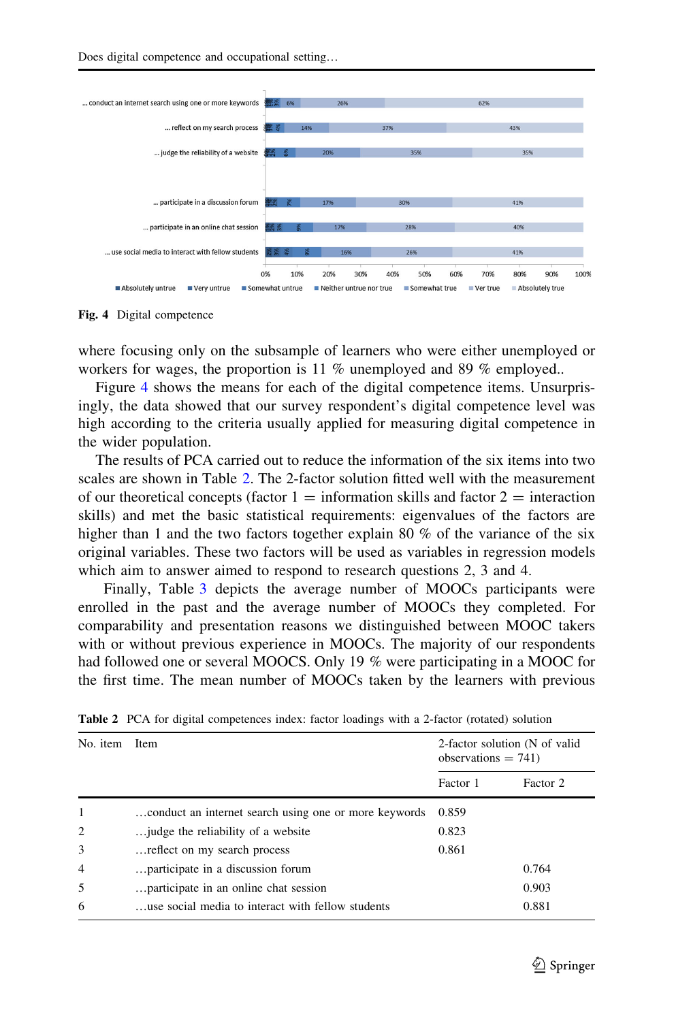<span id="page-11-0"></span>Does digital competence and occupational setting…



Fig. 4 Digital competence

where focusing only on the subsample of learners who were either unemployed or workers for wages, the proportion is 11 % unemployed and 89 % employed..

Figure 4 shows the means for each of the digital competence items. Unsurprisingly, the data showed that our survey respondent's digital competence level was high according to the criteria usually applied for measuring digital competence in the wider population.

The results of PCA carried out to reduce the information of the six items into two scales are shown in Table 2. The 2-factor solution fitted well with the measurement of our theoretical concepts (factor  $1 =$  information skills and factor  $2 =$  interaction skills) and met the basic statistical requirements: eigenvalues of the factors are higher than 1 and the two factors together explain 80 % of the variance of the six original variables. These two factors will be used as variables in regression models which aim to answer aimed to respond to research questions 2, 3 and 4.

Finally, Table [3](#page-12-0) depicts the average number of MOOCs participants were enrolled in the past and the average number of MOOCs they completed. For comparability and presentation reasons we distinguished between MOOC takers with or without previous experience in MOOCs. The majority of our respondents had followed one or several MOOCS. Only 19 % were participating in a MOOC for the first time. The mean number of MOOCs taken by the learners with previous

| No. item       | Item                                                  | observations $= 741$ | 2-factor solution (N of valid |
|----------------|-------------------------------------------------------|----------------------|-------------------------------|
|                |                                                       | Factor 1             | Factor 2                      |
| 1              | conduct an internet search using one or more keywords | 0.859                |                               |
| 2              | judge the reliability of a website                    | 0.823                |                               |
| 3              | reflect on my search process                          | 0.861                |                               |
| $\overline{4}$ | participate in a discussion forum                     |                      | 0.764                         |
| 5              | participate in an online chat session                 |                      | 0.903                         |
| 6              | use social media to interact with fellow students     |                      | 0.881                         |

Table 2 PCA for digital competences index: factor loadings with a 2-factor (rotated) solution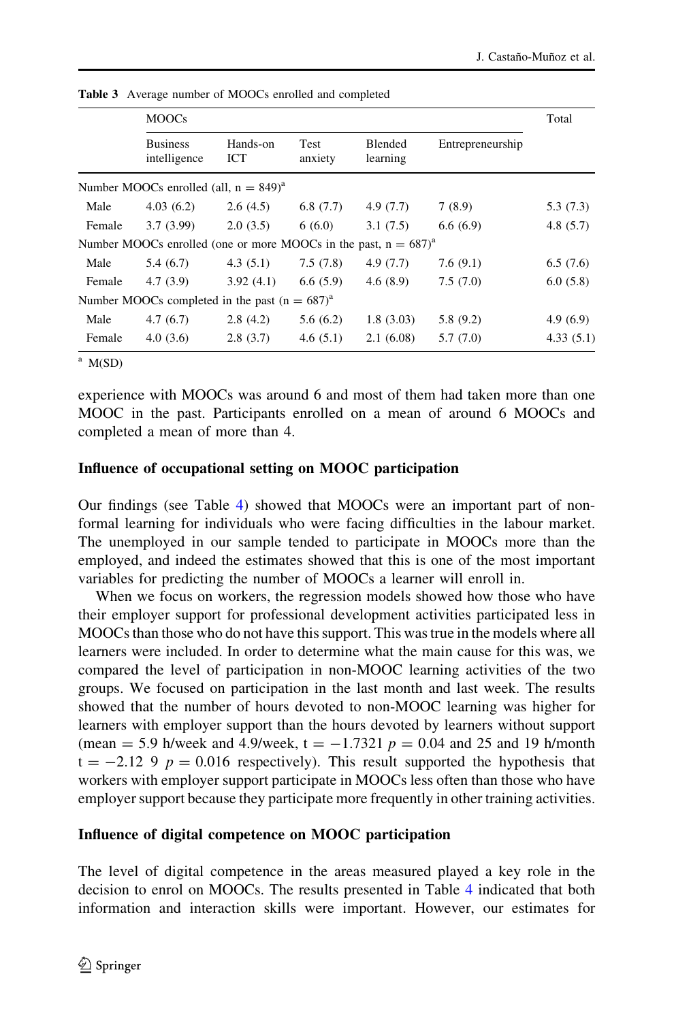|        | <b>MOOCs</b>                                                                   |                 |                        |                     |                  | Total     |
|--------|--------------------------------------------------------------------------------|-----------------|------------------------|---------------------|------------------|-----------|
|        | <b>Business</b><br>intelligence                                                | Hands-on<br>ICT | <b>Test</b><br>anxiety | Blended<br>learning | Entrepreneurship |           |
|        | Number MOOCs enrolled (all, $n = 849$ <sup>a</sup>                             |                 |                        |                     |                  |           |
| Male   | 4.03(6.2)                                                                      | 2.6(4.5)        | 6.8(7.7)               | 4.9(7.7)            | 7(8.9)           | 5.3(7.3)  |
| Female | 3.7(3.99)                                                                      | 2.0(3.5)        | 6(6.0)                 | 3.1(7.5)            | 6.6(6.9)         | 4.8(5.7)  |
|        | Number MOOCs enrolled (one or more MOOCs in the past, $n = 687$ ) <sup>a</sup> |                 |                        |                     |                  |           |
| Male   | 5.4(6.7)                                                                       | 4.3(5.1)        | 7.5(7.8)               | 4.9(7.7)            | 7.6(9.1)         | 6.5(7.6)  |
| Female | 4.7(3.9)                                                                       | 3.92(4.1)       | 6.6(5.9)               | 4.6(8.9)            | 7.5(7.0)         | 6.0(5.8)  |
|        | Number MOOCs completed in the past $(n = 687)^{a}$                             |                 |                        |                     |                  |           |
| Male   | 4.7(6.7)                                                                       | 2.8(4.2)        | 5.6(6.2)               | 1.8(3.03)           | 5.8(9.2)         | 4.9(6.9)  |
| Female | 4.0(3.6)                                                                       | 2.8(3.7)        | 4.6(5.1)               | 2.1(6.08)           | 5.7(7.0)         | 4.33(5.1) |

<span id="page-12-0"></span>Table 3 Average number of MOOCs enrolled and completed

 $^{\rm a}$  M(SD)

experience with MOOCs was around 6 and most of them had taken more than one MOOC in the past. Participants enrolled on a mean of around 6 MOOCs and completed a mean of more than 4.

#### Influence of occupational setting on MOOC participation

Our findings (see Table [4\)](#page-14-0) showed that MOOCs were an important part of nonformal learning for individuals who were facing difficulties in the labour market. The unemployed in our sample tended to participate in MOOCs more than the employed, and indeed the estimates showed that this is one of the most important variables for predicting the number of MOOCs a learner will enroll in.

When we focus on workers, the regression models showed how those who have their employer support for professional development activities participated less in MOOCs than those who do not have this support. This was true in the models where all learners were included. In order to determine what the main cause for this was, we compared the level of participation in non-MOOC learning activities of the two groups. We focused on participation in the last month and last week. The results showed that the number of hours devoted to non-MOOC learning was higher for learners with employer support than the hours devoted by learners without support (mean = 5.9 h/week and 4.9/week,  $t = -1.7321$   $p = 0.04$  and 25 and 19 h/month  $t = -2.12$  9  $p = 0.016$  respectively). This result supported the hypothesis that workers with employer support participate in MOOCs less often than those who have employer support because they participate more frequently in other training activities.

#### Influence of digital competence on MOOC participation

The level of digital competence in the areas measured played a key role in the decision to enrol on MOOCs. The results presented in Table [4](#page-14-0) indicated that both information and interaction skills were important. However, our estimates for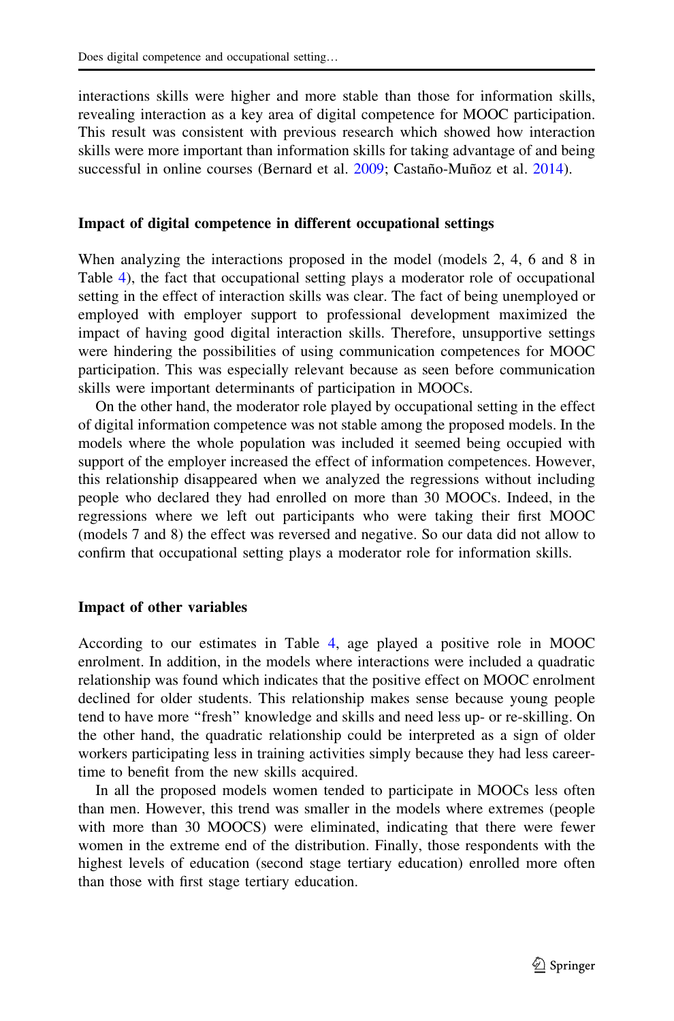interactions skills were higher and more stable than those for information skills, revealing interaction as a key area of digital competence for MOOC participation. This result was consistent with previous research which showed how interaction skills were more important than information skills for taking advantage of and being successful in online courses (Bernard et al. [2009;](#page-17-0) Castaño-Muñoz et al. [2014\)](#page-17-0).

#### Impact of digital competence in different occupational settings

When analyzing the interactions proposed in the model (models 2, 4, 6 and 8 in Table [4](#page-14-0)), the fact that occupational setting plays a moderator role of occupational setting in the effect of interaction skills was clear. The fact of being unemployed or employed with employer support to professional development maximized the impact of having good digital interaction skills. Therefore, unsupportive settings were hindering the possibilities of using communication competences for MOOC participation. This was especially relevant because as seen before communication skills were important determinants of participation in MOOCs.

On the other hand, the moderator role played by occupational setting in the effect of digital information competence was not stable among the proposed models. In the models where the whole population was included it seemed being occupied with support of the employer increased the effect of information competences. However, this relationship disappeared when we analyzed the regressions without including people who declared they had enrolled on more than 30 MOOCs. Indeed, in the regressions where we left out participants who were taking their first MOOC (models 7 and 8) the effect was reversed and negative. So our data did not allow to confirm that occupational setting plays a moderator role for information skills.

#### Impact of other variables

According to our estimates in Table [4,](#page-14-0) age played a positive role in MOOC enrolment. In addition, in the models where interactions were included a quadratic relationship was found which indicates that the positive effect on MOOC enrolment declined for older students. This relationship makes sense because young people tend to have more ''fresh'' knowledge and skills and need less up- or re-skilling. On the other hand, the quadratic relationship could be interpreted as a sign of older workers participating less in training activities simply because they had less careertime to benefit from the new skills acquired.

In all the proposed models women tended to participate in MOOCs less often than men. However, this trend was smaller in the models where extremes (people with more than 30 MOOCS) were eliminated, indicating that there were fewer women in the extreme end of the distribution. Finally, those respondents with the highest levels of education (second stage tertiary education) enrolled more often than those with first stage tertiary education.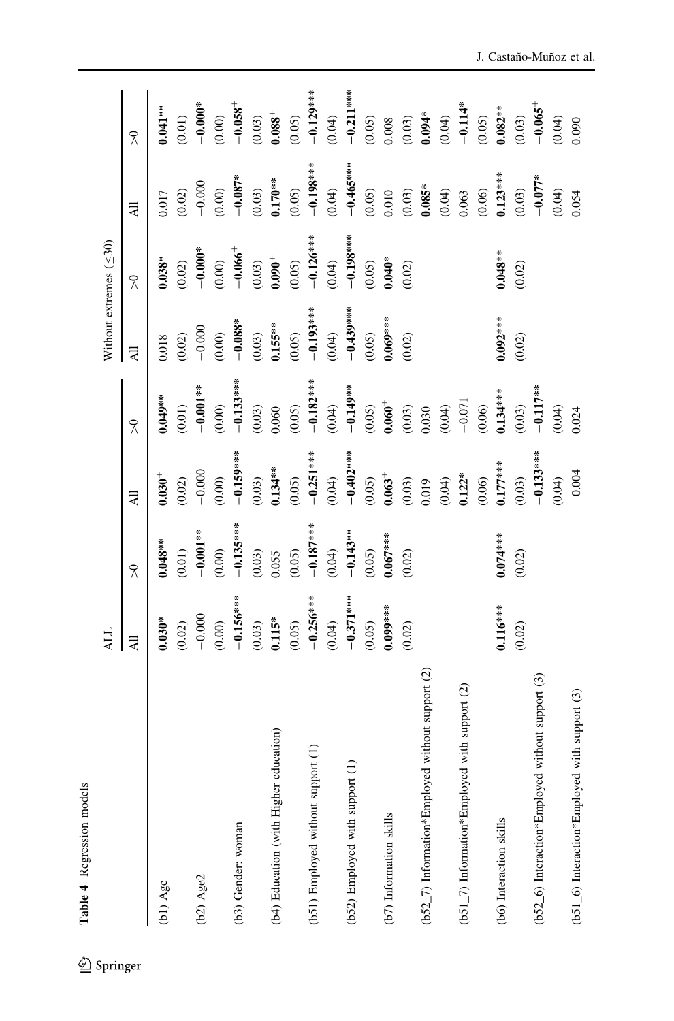<span id="page-14-0"></span>

| Table 4 Regression models                             |                       |                           |              |                       |                              |                       |                |                       |
|-------------------------------------------------------|-----------------------|---------------------------|--------------|-----------------------|------------------------------|-----------------------|----------------|-----------------------|
|                                                       | ТГY                   |                           |              |                       | Without extremes $(\leq 30)$ |                       |                |                       |
|                                                       | $\overline{4}$        | $\widetilde{\mathcal{R}}$ | ₹            | $\widetilde{\lambda}$ | Ę                            | $\widetilde{\lambda}$ | $\overline{A}$ | $\widetilde{\lambda}$ |
| $(b1)$ Age                                            | $0.030*$              | $0.048***$                | $0.030^{+}$  | $0.049**$             | 0.018                        | $0.038*$              | 0.017          | $0.041**$             |
|                                                       | (0.02)                | (0.01)                    | (0.02)       | (0.01)                | $(0.02)$                     | (0.02)                | $(0.02)$       | (0.01)                |
| $(b2)$ Age2                                           | $-0.000$              | $-0.001**$                | $-0.000$     | $-0.001**$            | $-0.000$                     | $-0.000*$             | $-0.000$       | $-0.000$ *            |
|                                                       | $(0.00)$              | (0.00)                    | $(0.00)$     | (0.00)                | $(0.00)$                     | (0.00)                | (0.00)         | $(0.00)$              |
| (b3) Gender: woman                                    | $-0.156***$           | $-0.135***$               | $-0.159***$  | $-0.133***$           | $-0.088**$                   | $-0.066^{+}$          | $-0.087*$      | $-0.058^{+}$          |
|                                                       | $(0.03)$              | (0.03)                    | (0.03)       | (0.03)                | (0.03)                       | (0.03)                | (0.03)         | (0.03)                |
| (b4) Education (with Higher education)                | $0.115*$              | 0.055                     | $0.134***$   | 0.060                 | $0.155***$                   | $0.090 +$             | $0.170***$     | $0.088^{+}$           |
|                                                       | (0.05)                | (0.05)                    | (0.05)       | $(0.05)$              | $(0.05)$                     | $(0.05)$              | $(0.05)$       | (0.05)                |
| (b51) Employed without support (1)                    | $-0.256***$           | $-0.187$ ***              | $-0.251***$  | $-0.182***$           | $-0.193***$                  | $-0.126***$           | $-0.198***$    | $-0.129***$           |
|                                                       | (0.04)                | (0.04)                    | (0.04)       | $(0.04)$              | (0.04)                       | (0.04)                | $(0.04)$       | (0.04)                |
| (b52) Employed with support (1)                       | $-0.371***$           | $-0.143***$               | $-0.402$ *** | $-0.149**$            | $-0.439***$                  | $-0.198***$           | $-0.465***$    | $-0.211***$           |
|                                                       | (0.05)                | (0.05)                    | (0.05)       | $(0.05)$              | (0.05)                       | (0.05)                | (0.05)         | (0.05)                |
| (b7) Information skills                               | $0.09$ <sup>***</sup> | $0.067***$                | $0.063+$     | $0.060^{+}$           | $0.069***$                   | $0.040*$              | 0.010          | $0.008\,$             |
|                                                       | (0.02)                | (0.02)                    | (0.03)       | $(0.03)$              | (0.02)                       | (0.02)                | (0.03)         | $(0.03)$              |
| without support (2)<br>$(b52-7)$ Information*Employed |                       |                           | 0.019        | 0.030                 |                              |                       | $0.085*$       | $0.094*$              |
|                                                       |                       |                           | $(0.04)$     | $(0.04)$              |                              |                       | (0.04)         | (0.04)                |
| with support (2)<br>(b51_7) Information*Employed      |                       |                           | $0.122*$     | $-0.071$              |                              |                       | 0.063          | $-0.114*$             |
|                                                       |                       |                           | $(0.06)$     | $(0.06)$              |                              |                       | $(0.06)$       | (0.05)                |
| (b6) Interaction skills                               | $0.116***$            | $.074***$                 | $0.177***$   | $0.134***$            | $0.092***$                   | $0.048***$            | $0.123***$     | $0.082***$            |
|                                                       | (0.02)                | (0.02)                    | (0.03)       | (0.03)                | (0.02)                       | (0.02)                | $(0.03)$       | (0.03)                |
| without support (3)<br>(b52_6) Interaction*Employed   |                       |                           | $-0.133***$  | $-0.117**$            |                              |                       | $-0.077*$      | $-0.065$ <sup>+</sup> |
|                                                       |                       |                           | (0.04)       | (0.04)                |                              |                       | $(0.04)$       | (0.04)                |
| with support (3)<br>$(b51_6)$ Interaction*Employed    |                       |                           | $-0.004$     | 0.024                 |                              |                       | 0.054          | 0.090                 |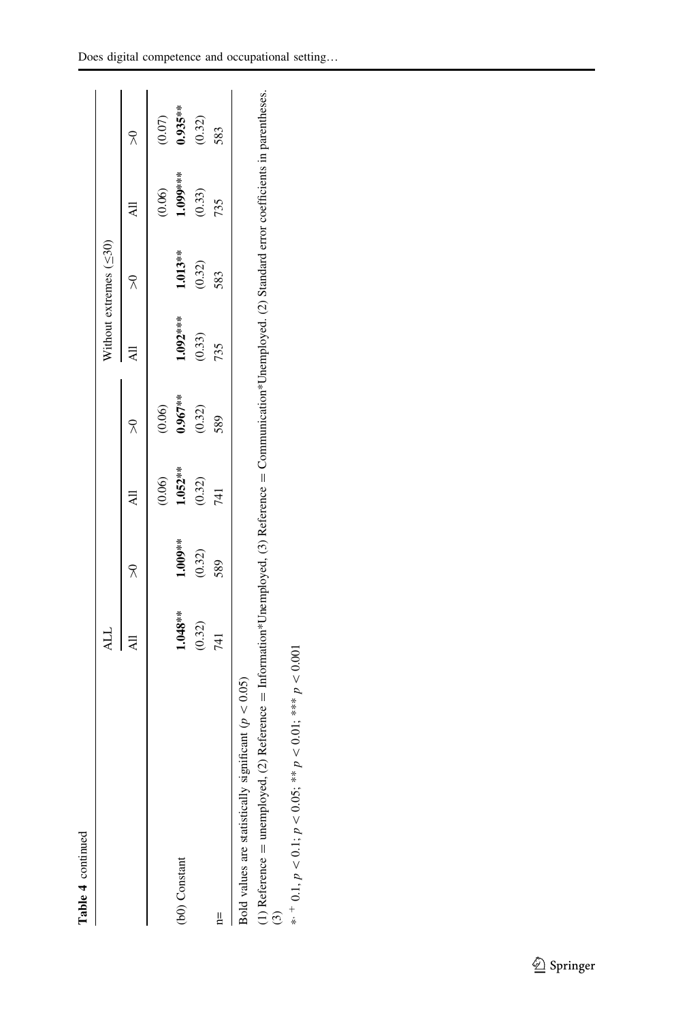| í<br>J |
|--------|
|        |
|        |
|        |

|                                                          | <b>ALL</b>               |                            |                                        |                                                                             |                                   | Without extremes $(\leq 30)$ |                                                 |                                        |
|----------------------------------------------------------|--------------------------|----------------------------|----------------------------------------|-----------------------------------------------------------------------------|-----------------------------------|------------------------------|-------------------------------------------------|----------------------------------------|
|                                                          | .<br>국                   | $\widetilde{\mathcal{R}}$  | Ę                                      | $\approx$                                                                   | LK<br>T                           | $\frac{1}{2}$                | $\overline{A}$                                  | $\widetilde{\mathcal{R}}$              |
|                                                          |                          |                            |                                        |                                                                             |                                   |                              |                                                 |                                        |
| (b0) Constant                                            |                          |                            |                                        |                                                                             |                                   |                              |                                                 |                                        |
|                                                          | 1.048**<br>(0.32)<br>741 | $1.009**$<br>(0.32)<br>589 | $(0.06)$<br>1.052**<br>$(0.32)$<br>741 | $\begin{array}{c} (0.06) \\ \textbf{0.967***} \\ (0.32) \\ 589 \end{array}$ | <b>1.092****</b><br>(0.33)<br>735 | $1.013***$<br>(0.32)<br>583  | $(0.06)$<br><b>1.099</b> ***<br>$(0.33)$<br>735 | $(0.07)$<br>0.935**<br>$(0.32)$<br>583 |
| Щ                                                        |                          |                            |                                        |                                                                             |                                   |                              |                                                 |                                        |
| Bold values are statistically significant ( $p < 0.05$ ) |                          |                            |                                        |                                                                             |                                   |                              |                                                 |                                        |

(1) Reference = unemployed, (2) Reference = Information\*Unemployed, (3) Reference = Communication\*Unemployed. (2) Standard error coefficients in parentheses. (1) Reference = unemployed, (2) Reference = Information\*Unemployed, (3) Reference = Communication\*Unemployed. (2) Standard error coefficients in parentheses.<br>(3)

\*\* + 0.1,  $p < 0.1$ ;  $p < 0.05$ ; \*\*  $p < 0.01$ ; \*\*\*  $p < 0.001$ \*,  $^+$  0.1,  $p < 0.1$ ;  $p < 0.05$ ; \*\*  $p < 0.01$ ; \*\*\*  $p < 0.001$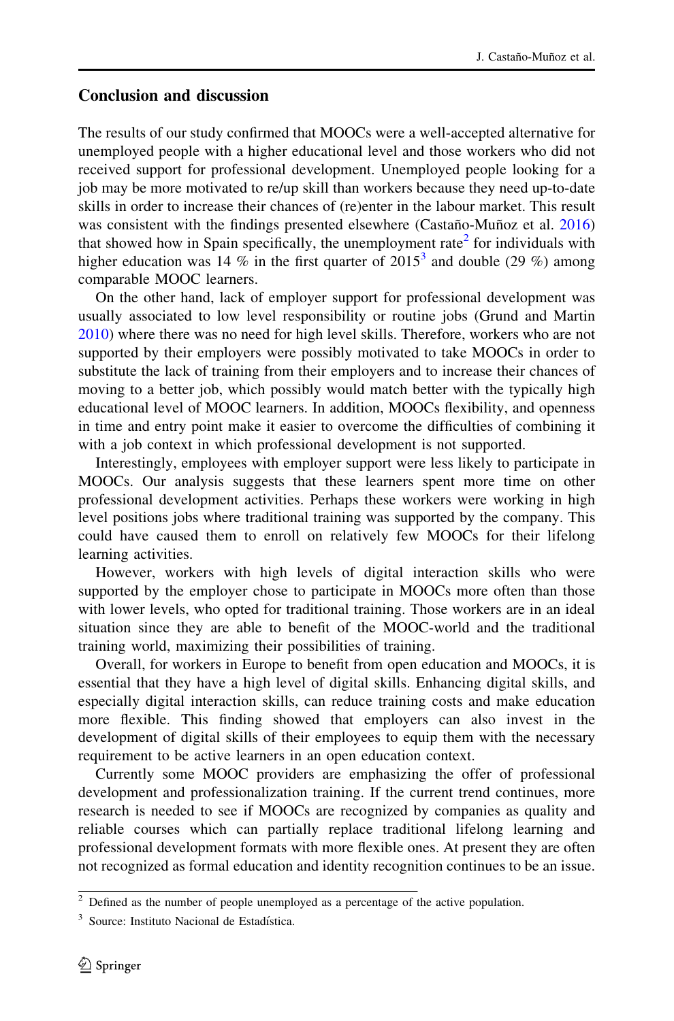# Conclusion and discussion

The results of our study confirmed that MOOCs were a well-accepted alternative for unemployed people with a higher educational level and those workers who did not received support for professional development. Unemployed people looking for a job may be more motivated to re/up skill than workers because they need up-to-date skills in order to increase their chances of (re)enter in the labour market. This result was consistent with the findings presented elsewhere (Castaño-Muñoz et al. [2016](#page-17-0)) that showed how in Spain specifically, the unemployment rate<sup>2</sup> for individuals with higher education was 14 % in the first quarter of 2015<sup>3</sup> and double (29 %) among comparable MOOC learners.

On the other hand, lack of employer support for professional development was usually associated to low level responsibility or routine jobs (Grund and Martin [2010\)](#page-18-0) where there was no need for high level skills. Therefore, workers who are not supported by their employers were possibly motivated to take MOOCs in order to substitute the lack of training from their employers and to increase their chances of moving to a better job, which possibly would match better with the typically high educational level of MOOC learners. In addition, MOOCs flexibility, and openness in time and entry point make it easier to overcome the difficulties of combining it with a job context in which professional development is not supported.

Interestingly, employees with employer support were less likely to participate in MOOCs. Our analysis suggests that these learners spent more time on other professional development activities. Perhaps these workers were working in high level positions jobs where traditional training was supported by the company. This could have caused them to enroll on relatively few MOOCs for their lifelong learning activities.

However, workers with high levels of digital interaction skills who were supported by the employer chose to participate in MOOCs more often than those with lower levels, who opted for traditional training. Those workers are in an ideal situation since they are able to benefit of the MOOC-world and the traditional training world, maximizing their possibilities of training.

Overall, for workers in Europe to benefit from open education and MOOCs, it is essential that they have a high level of digital skills. Enhancing digital skills, and especially digital interaction skills, can reduce training costs and make education more flexible. This finding showed that employers can also invest in the development of digital skills of their employees to equip them with the necessary requirement to be active learners in an open education context.

Currently some MOOC providers are emphasizing the offer of professional development and professionalization training. If the current trend continues, more research is needed to see if MOOCs are recognized by companies as quality and reliable courses which can partially replace traditional lifelong learning and professional development formats with more flexible ones. At present they are often not recognized as formal education and identity recognition continues to be an issue.

<sup>&</sup>lt;sup>2</sup> Defined as the number of people unemployed as a percentage of the active population.

<sup>&</sup>lt;sup>3</sup> Source: Instituto Nacional de Estadística.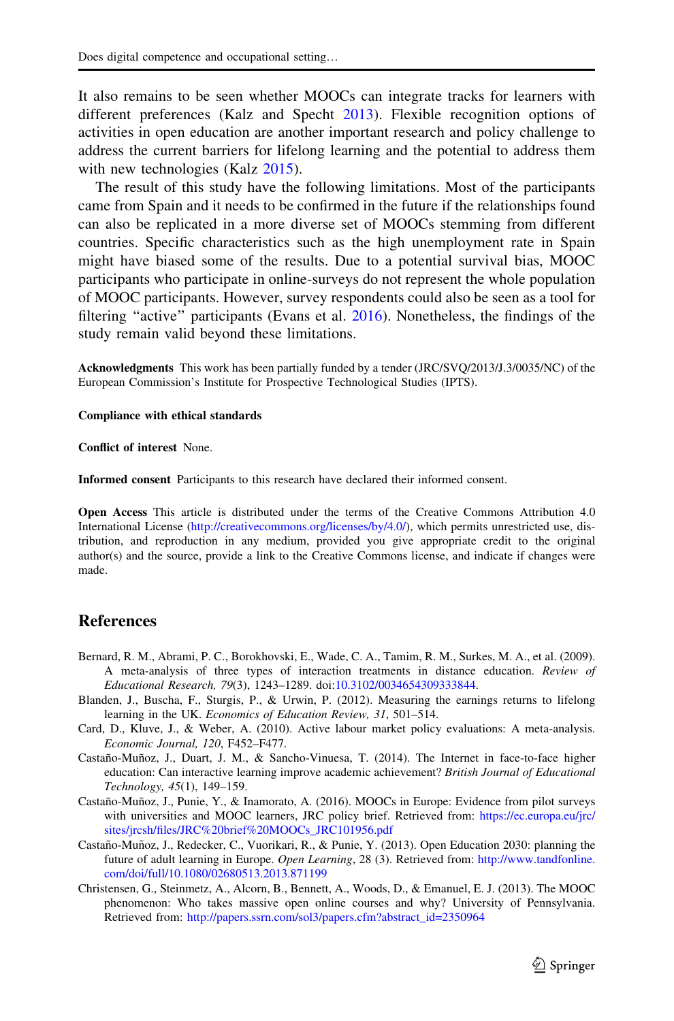<span id="page-17-0"></span>It also remains to be seen whether MOOCs can integrate tracks for learners with different preferences (Kalz and Specht [2013\)](#page-18-0). Flexible recognition options of activities in open education are another important research and policy challenge to address the current barriers for lifelong learning and the potential to address them with new technologies (Kalz [2015\)](#page-18-0).

The result of this study have the following limitations. Most of the participants came from Spain and it needs to be confirmed in the future if the relationships found can also be replicated in a more diverse set of MOOCs stemming from different countries. Specific characteristics such as the high unemployment rate in Spain might have biased some of the results. Due to a potential survival bias, MOOC participants who participate in online-surveys do not represent the whole population of MOOC participants. However, survey respondents could also be seen as a tool for filtering "active" participants (Evans et al. [2016](#page-18-0)). Nonetheless, the findings of the study remain valid beyond these limitations.

Acknowledgments This work has been partially funded by a tender (JRC/SVQ/2013/J.3/0035/NC) of the European Commission's Institute for Prospective Technological Studies (IPTS).

#### Compliance with ethical standards

Conflict of interest None.

Informed consent Participants to this research have declared their informed consent.

Open Access This article is distributed under the terms of the Creative Commons Attribution 4.0 International License ([http://creativecommons.org/licenses/by/4.0/\)](http://creativecommons.org/licenses/by/4.0/), which permits unrestricted use, distribution, and reproduction in any medium, provided you give appropriate credit to the original author(s) and the source, provide a link to the Creative Commons license, and indicate if changes were made.

#### **References**

- Bernard, R. M., Abrami, P. C., Borokhovski, E., Wade, C. A., Tamim, R. M., Surkes, M. A., et al. (2009). A meta-analysis of three types of interaction treatments in distance education. Review of Educational Research, 79(3), 1243–1289. doi:[10.3102/0034654309333844](http://dx.doi.org/10.3102/0034654309333844).
- Blanden, J., Buscha, F., Sturgis, P., & Urwin, P. (2012). Measuring the earnings returns to lifelong learning in the UK. Economics of Education Review, 31, 501–514.
- Card, D., Kluve, J., & Weber, A. (2010). Active labour market policy evaluations: A meta-analysis. Economic Journal, 120, F452–F477.
- Castaño-Muñoz, J., Duart, J. M., & Sancho-Vinuesa, T. (2014). The Internet in face-to-face higher education: Can interactive learning improve academic achievement? British Journal of Educational Technology, 45(1), 149–159.
- Castaño-Muñoz, J., Punie, Y., & Inamorato, A. (2016). MOOCs in Europe: Evidence from pilot surveys with universities and MOOC learners, JRC policy brief. Retrieved from: [https://ec.europa.eu/jrc/](https://ec.europa.eu/jrc/sites/jrcsh/files/JRC%20brief%20MOOCs_JRC101956.pdf) [sites/jrcsh/files/JRC%20brief%20MOOCs\\_JRC101956.pdf](https://ec.europa.eu/jrc/sites/jrcsh/files/JRC%20brief%20MOOCs_JRC101956.pdf)
- Castaño-Muñoz, J., Redecker, C., Vuorikari, R., & Punie, Y. (2013). Open Education 2030: planning the future of adult learning in Europe. Open Learning, 28 (3). Retrieved from: [http://www.tandfonline.](http://www.tandfonline.com/doi/full/10.1080/02680513.2013.871199) [com/doi/full/10.1080/02680513.2013.871199](http://www.tandfonline.com/doi/full/10.1080/02680513.2013.871199)
- Christensen, G., Steinmetz, A., Alcorn, B., Bennett, A., Woods, D., & Emanuel, E. J. (2013). The MOOC phenomenon: Who takes massive open online courses and why? University of Pennsylvania. Retrieved from: [http://papers.ssrn.com/sol3/papers.cfm?abstract\\_id=2350964](http://papers.ssrn.com/sol3/papers.cfm%3fabstract_id%3d2350964)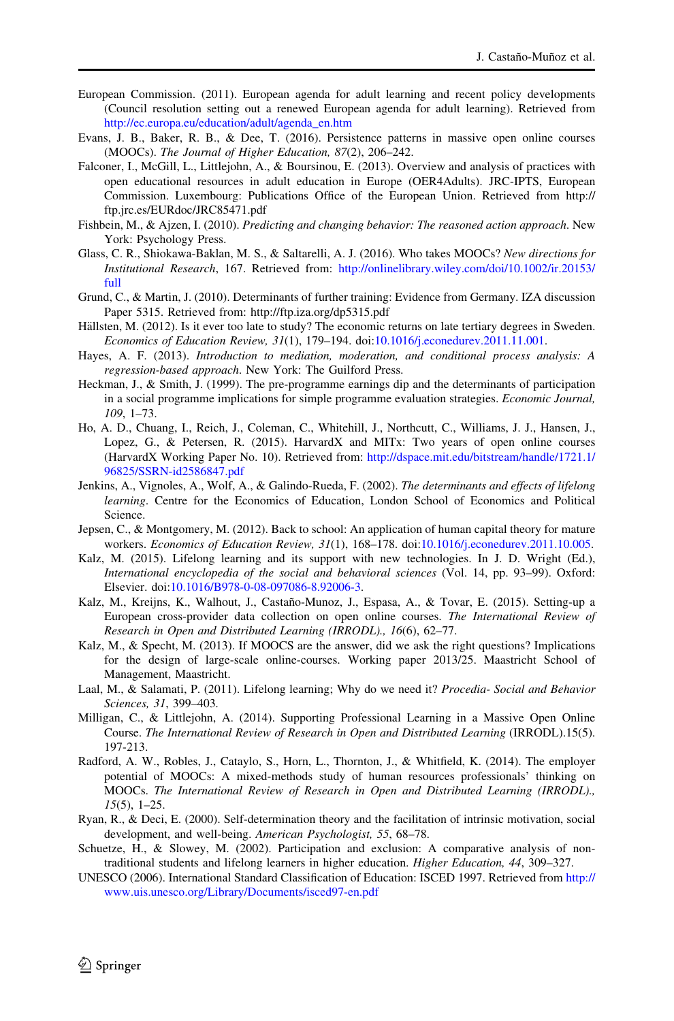- <span id="page-18-0"></span>European Commission. (2011). European agenda for adult learning and recent policy developments (Council resolution setting out a renewed European agenda for adult learning). Retrieved from [http://ec.europa.eu/education/adult/agenda\\_en.htm](http://ec.europa.eu/education/adult/agenda_en.htm)
- Evans, J. B., Baker, R. B., & Dee, T. (2016). Persistence patterns in massive open online courses (MOOCs). The Journal of Higher Education, 87(2), 206–242.
- Falconer, I., McGill, L., Littlejohn, A., & Boursinou, E. (2013). Overview and analysis of practices with open educational resources in adult education in Europe (OER4Adults). JRC-IPTS, European Commission. Luxembourg: Publications Office of the European Union. Retrieved from http:// ftp.jrc.es/EURdoc/JRC85471.pdf
- Fishbein, M., & Ajzen, I. (2010). Predicting and changing behavior: The reasoned action approach. New York: Psychology Press.
- Glass, C. R., Shiokawa-Baklan, M. S., & Saltarelli, A. J. (2016). Who takes MOOCs? New directions for Institutional Research, 167. Retrieved from: [http://onlinelibrary.wiley.com/doi/10.1002/ir.20153/](http://onlinelibrary.wiley.com/doi/10.1002/ir.20153/full) [full](http://onlinelibrary.wiley.com/doi/10.1002/ir.20153/full)
- Grund, C., & Martin, J. (2010). Determinants of further training: Evidence from Germany. IZA discussion Paper 5315. Retrieved from: http://ftp.iza.org/dp5315.pdf
- Hällsten, M. (2012). Is it ever too late to study? The economic returns on late tertiary degrees in Sweden. Economics of Education Review, 31(1), 179–194. doi[:10.1016/j.econedurev.2011.11.001](http://dx.doi.org/10.1016/j.econedurev.2011.11.001).
- Hayes, A. F. (2013). Introduction to mediation, moderation, and conditional process analysis: A regression-based approach. New York: The Guilford Press.
- Heckman, J., & Smith, J. (1999). The pre-programme earnings dip and the determinants of participation in a social programme implications for simple programme evaluation strategies. Economic Journal, 109, 1–73.
- Ho, A. D., Chuang, I., Reich, J., Coleman, C., Whitehill, J., Northcutt, C., Williams, J. J., Hansen, J., Lopez, G., & Petersen, R. (2015). HarvardX and MITx: Two years of open online courses (HarvardX Working Paper No. 10). Retrieved from: [http://dspace.mit.edu/bitstream/handle/1721.1/](http://dspace.mit.edu/bitstream/handle/1721.1/96825/SSRN-id2586847.pdf) [96825/SSRN-id2586847.pdf](http://dspace.mit.edu/bitstream/handle/1721.1/96825/SSRN-id2586847.pdf)
- Jenkins, A., Vignoles, A., Wolf, A., & Galindo-Rueda, F. (2002). The determinants and effects of lifelong learning. Centre for the Economics of Education, London School of Economics and Political Science.
- Jepsen, C., & Montgomery, M. (2012). Back to school: An application of human capital theory for mature workers. Economics of Education Review, 31(1), 168–178. doi:[10.1016/j.econedurev.2011.10.005](http://dx.doi.org/10.1016/j.econedurev.2011.10.005).
- Kalz, M. (2015). Lifelong learning and its support with new technologies. In J. D. Wright (Ed.), International encyclopedia of the social and behavioral sciences (Vol. 14, pp. 93–99). Oxford: Elsevier. doi[:10.1016/B978-0-08-097086-8.92006-3](http://dx.doi.org/10.1016/B978-0-08-097086-8.92006-3).
- Kalz, M., Kreijns, K., Walhout, J., Castaño-Munoz, J., Espasa, A., & Tovar, E. (2015). Setting-up a European cross-provider data collection on open online courses. The International Review of Research in Open and Distributed Learning (IRRODL)., 16(6), 62–77.
- Kalz, M., & Specht, M. (2013). If MOOCS are the answer, did we ask the right questions? Implications for the design of large-scale online-courses. Working paper 2013/25. Maastricht School of Management, Maastricht.
- Laal, M., & Salamati, P. (2011). Lifelong learning; Why do we need it? Procedia- Social and Behavior Sciences, 31, 399–403.
- Milligan, C., & Littlejohn, A. (2014). Supporting Professional Learning in a Massive Open Online Course. The International Review of Research in Open and Distributed Learning (IRRODL).15(5). 197-213.
- Radford, A. W., Robles, J., Cataylo, S., Horn, L., Thornton, J., & Whitfield, K. (2014). The employer potential of MOOCs: A mixed-methods study of human resources professionals' thinking on MOOCs. The International Review of Research in Open and Distributed Learning (IRRODL).,  $15(5)$ , 1-25.
- Ryan, R., & Deci, E. (2000). Self-determination theory and the facilitation of intrinsic motivation, social development, and well-being. American Psychologist, 55, 68–78.
- Schuetze, H., & Slowey, M. (2002). Participation and exclusion: A comparative analysis of nontraditional students and lifelong learners in higher education. Higher Education, 44, 309–327.
- UNESCO (2006). International Standard Classification of Education: ISCED 1997. Retrieved from [http://](http://www.uis.unesco.org/Library/Documents/isced97-en.pdf) [www.uis.unesco.org/Library/Documents/isced97-en.pdf](http://www.uis.unesco.org/Library/Documents/isced97-en.pdf)